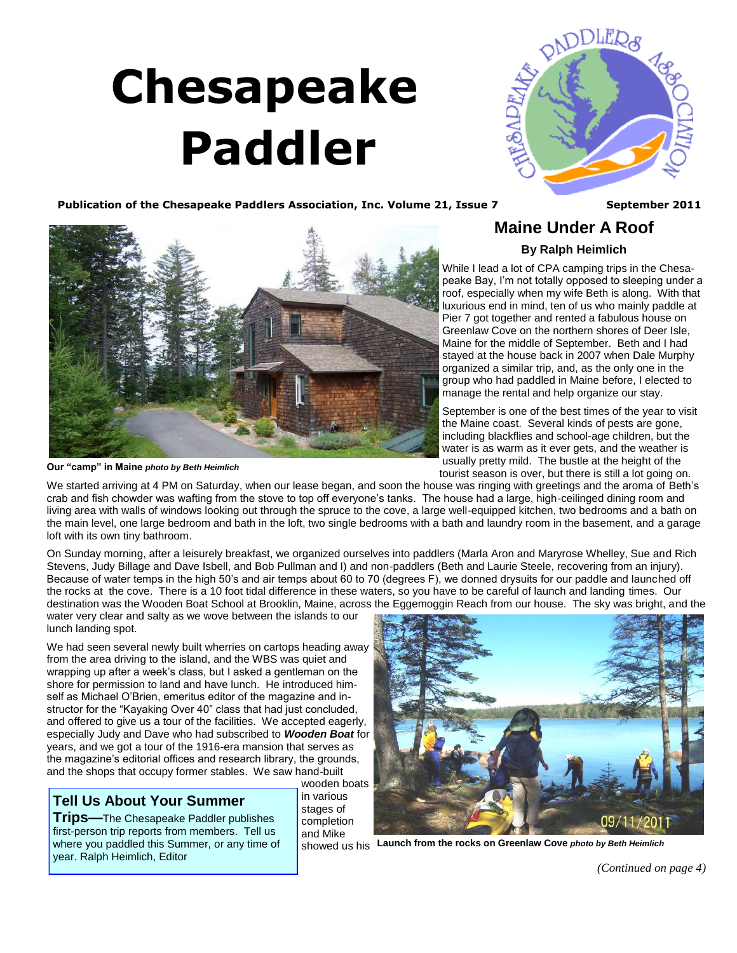# <span id="page-0-0"></span> **Chesapeake Paddler**



**Maine Under A Roof By Ralph Heimlich** While I lead a lot of CPA camping trips in the Chesa-

Publication of the Chesapeake Paddlers Association, Inc. Volume 21, Issue 7 September 2011



**Our "camp" in Maine** *photo by Beth Heimlich*

tourist season is over, but there is still a lot going on. We started arriving at 4 PM on Saturday, when our lease began, and soon the house was ringing with greetings and the aroma of Beth's crab and fish chowder was wafting from the stove to top off everyone's tanks. The house had a large, high-ceilinged dining room and living area with walls of windows looking out through the spruce to the cove, a large well-equipped kitchen, two bedrooms and a bath on the main level, one large bedroom and bath in the loft, two single bedrooms with a bath and laundry room in the basement, and a garage loft with its own tiny bathroom.

On Sunday morning, after a leisurely breakfast, we organized ourselves into paddlers (Marla Aron and Maryrose Whelley, Sue and Rich Stevens, Judy Billage and Dave Isbell, and Bob Pullman and I) and non-paddlers (Beth and Laurie Steele, recovering from an injury). Because of water temps in the high 50's and air temps about 60 to 70 (degrees F), we donned drysuits for our paddle and launched off the rocks at the cove. There is a 10 foot tidal difference in these waters, so you have to be careful of launch and landing times. Our destination was the Wooden Boat School at Brooklin, Maine, across the Eggemoggin Reach from our house. The sky was bright, and the

water very clear and salty as we wove between the islands to our lunch landing spot.

We had seen several newly built wherries on cartops heading away from the area driving to the island, and the WBS was quiet and wrapping up after a week's class, but I asked a gentleman on the shore for permission to land and have lunch. He introduced himself as Michael O'Brien, emeritus editor of the magazine and instructor for the "Kayaking Over 40" class that had just concluded, and offered to give us a tour of the facilities. We accepted eagerly, especially Judy and Dave who had subscribed to *Wooden Boat* for years, and we got a tour of the 1916-era mansion that serves as the magazine's editorial offices and research library, the grounds, and the shops that occupy former stables. We saw hand-built

### **Tell Us About Your Summer**

**Trips—**The Chesapeake Paddler publishes first-person trip reports from members. Tell us where you paddled this Summer, or any time of year. Ralph Heimlich, Editor

wooden boats in various stages of completion and Mike



showed us his **Launch from the rocks on Greenlaw Cove** *photo by Beth Heimlich*

*[\(Continued on page 4\)](#page-1-0)*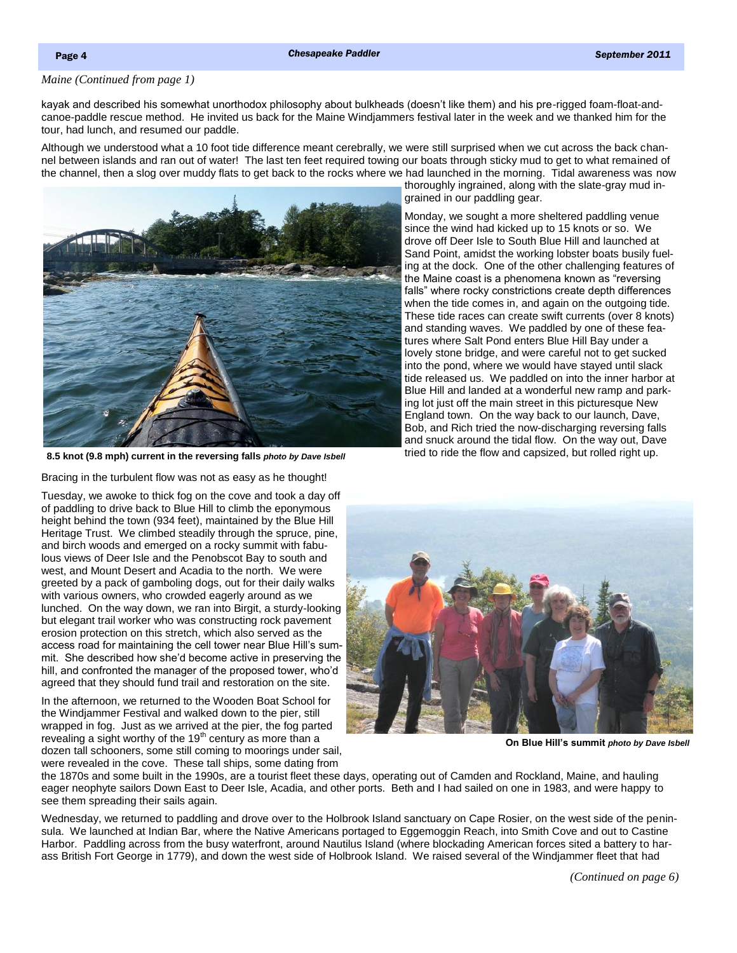#### <span id="page-1-0"></span>*[Maine \(Continued from page 1\)](#page-0-0)*

kayak and described his somewhat unorthodox philosophy about bulkheads (doesn't like them) and his pre-rigged foam-float-andcanoe-paddle rescue method. He invited us back for the Maine Windjammers festival later in the week and we thanked him for the tour, had lunch, and resumed our paddle.

Although we understood what a 10 foot tide difference meant cerebrally, we were still surprised when we cut across the back channel between islands and ran out of water! The last ten feet required towing our boats through sticky mud to get to what remained of the channel, then a slog over muddy flats to get back to the rocks where we had launched in the morning. Tidal awareness was now thoroughly ingrained, along with the slate-gray mud in-



**8.5 knot (9.8 mph) current in the reversing falls** *photo by Dave Isbell*

Bracing in the turbulent flow was not as easy as he thought!

Tuesday, we awoke to thick fog on the cove and took a day off of paddling to drive back to Blue Hill to climb the eponymous height behind the town (934 feet), maintained by the Blue Hill Heritage Trust. We climbed steadily through the spruce, pine, and birch woods and emerged on a rocky summit with fabulous views of Deer Isle and the Penobscot Bay to south and west, and Mount Desert and Acadia to the north. We were greeted by a pack of gamboling dogs, out for their daily walks with various owners, who crowded eagerly around as we lunched. On the way down, we ran into Birgit, a sturdy-looking but elegant trail worker who was constructing rock pavement erosion protection on this stretch, which also served as the access road for maintaining the cell tower near Blue Hill's summit. She described how she'd become active in preserving the hill, and confronted the manager of the proposed tower, who'd agreed that they should fund trail and restoration on the site.

In the afternoon, we returned to the Wooden Boat School for the Windjammer Festival and walked down to the pier, still wrapped in fog. Just as we arrived at the pier, the fog parted revealing a sight worthy of the  $19<sup>th</sup>$  century as more than a dozen tall schooners, some still coming to moorings under sail, were revealed in the cove. These tall ships, some dating from

**On Blue Hill's summit** *photo by Dave Isbell*

the 1870s and some built in the 1990s, are a tourist fleet these days, operating out of Camden and Rockland, Maine, and hauling eager neophyte sailors Down East to Deer Isle, Acadia, and other ports. Beth and I had sailed on one in 1983, and were happy to see them spreading their sails again.

Wednesday, we returned to paddling and drove over to the Holbrook Island sanctuary on Cape Rosier, on the west side of the peninsula. We launched at Indian Bar, where the Native Americans portaged to Eggemoggin Reach, into Smith Cove and out to Castine Harbor. Paddling across from the busy waterfront, around Nautilus Island (where blockading American forces sited a battery to harass British Fort George in 1779), and down the west side of Holbrook Island. We raised several of the Windjammer fleet that had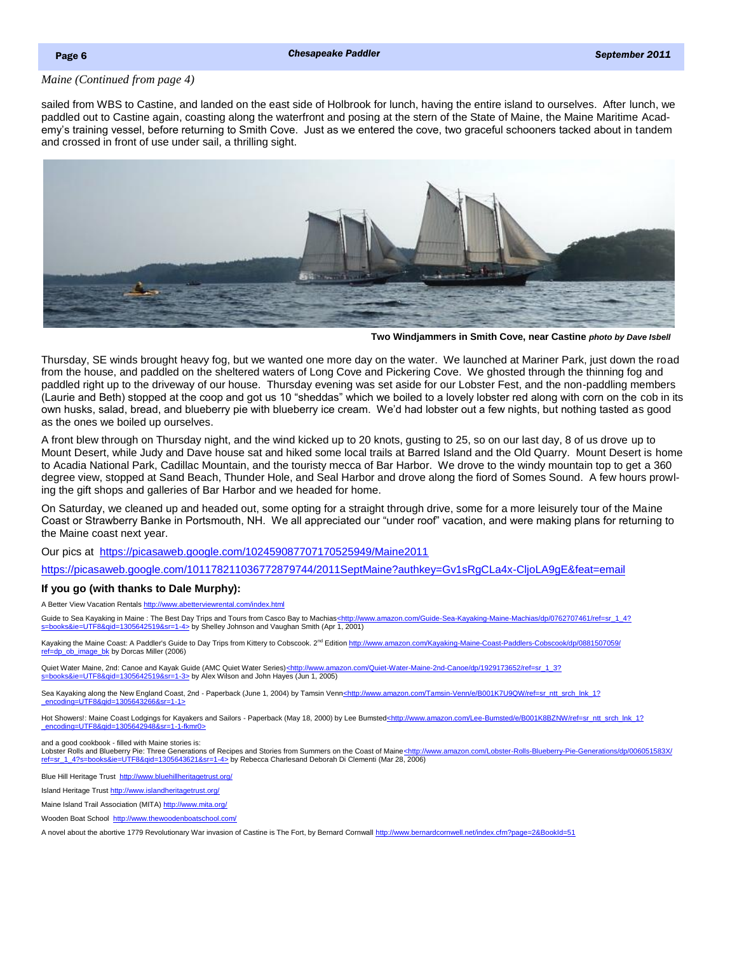#### <span id="page-2-0"></span>*[Maine \(Continued from page 4\)](#page-1-0)*

sailed from WBS to Castine, and landed on the east side of Holbrook for lunch, having the entire island to ourselves. After lunch, we paddled out to Castine again, coasting along the waterfront and posing at the stern of the State of Maine, the Maine Maritime Academy's training vessel, before returning to Smith Cove. Just as we entered the cove, two graceful schooners tacked about in tandem and crossed in front of use under sail, a thrilling sight.



**Two Windjammers in Smith Cove, near Castine** *photo by Dave Isbell*

Thursday, SE winds brought heavy fog, but we wanted one more day on the water. We launched at Mariner Park, just down the road from the house, and paddled on the sheltered waters of Long Cove and Pickering Cove. We ghosted through the thinning fog and paddled right up to the driveway of our house. Thursday evening was set aside for our Lobster Fest, and the non-paddling members (Laurie and Beth) stopped at the coop and got us 10 "sheddas" which we boiled to a lovely lobster red along with corn on the cob in its own husks, salad, bread, and blueberry pie with blueberry ice cream. We'd had lobster out a few nights, but nothing tasted as good as the ones we boiled up ourselves.

A front blew through on Thursday night, and the wind kicked up to 20 knots, gusting to 25, so on our last day, 8 of us drove up to Mount Desert, while Judy and Dave house sat and hiked some local trails at Barred Island and the Old Quarry. Mount Desert is home to Acadia National Park, Cadillac Mountain, and the touristy mecca of Bar Harbor. We drove to the windy mountain top to get a 360 degree view, stopped at Sand Beach, Thunder Hole, and Seal Harbor and drove along the fiord of Somes Sound. A few hours prowling the gift shops and galleries of Bar Harbor and we headed for home.

On Saturday, we cleaned up and headed out, some opting for a straight through drive, some for a more leisurely tour of the Maine Coast or Strawberry Banke in Portsmouth, NH. We all appreciated our "under roof" vacation, and were making plans for returning to the Maine coast next year.

Our pics at <https://picasaweb.google.com/102459087707170525949/Maine2011>

<https://picasaweb.google.com/101178211036772879744/2011SeptMaine?authkey=Gv1sRgCLa4x-CljoLA9gE&feat=email>

#### **If you go (with thanks to Dale Murphy):**

A Better View Vacation Rentals <http://www.abetterviewrental.com/index.html>

Guide to Sea Kayaking in Maine : The Best Day Trips and Tours from Casco Bay to Machias[<http://www.amazon.com/Guide-Sea-Kayaking-Maine-Machias/dp/0762707461/ref=sr\\_1\\_4?](http://www.amazon.com/Guide-Sea-Kayaking-Maine-Machias/dp/0762707461/ref=sr_1_4?s=books&ie=UTF8&qid=1305642519&sr=1-4) state 1305642519&sr=1-4> by Shelley Johnson and Vaughan Smith (Apr 1, 2001)

Kayaking the Maine Coast: A Paddler's Guide to Day Trips from Kittery to Cobscook. 2<sup>nd</sup> Edition [http://www.amazon.com/Kayaking-Maine-Coast-Paddlers-Cobscook/dp/0881507059/](http://www.amazon.com/Kayaking-Maine-Coast-Paddlers-Cobscook/dp/0881507059/ref=dp_ob_image_bk) [ref=dp\\_ob\\_image\\_bk](http://www.amazon.com/Kayaking-Maine-Coast-Paddlers-Cobscook/dp/0881507059/ref=dp_ob_image_bk) by Dorcas Miller (2006)

Quiet Water Maine, 2nd: Canoe and Kayak Guide (AMC Quiet Water Series)[<http://www.amazon.com/Quiet-Water-Maine-2nd-Canoe/dp/1929173652/ref=sr\\_1\\_3?](http://www.amazon.com/Quiet-Water-Maine-2nd-Canoe/dp/1929173652/ref=sr_1_3?s=books&ie=UTF8&qid=1305642519&sr=1-3)  $=\underbrace{\text{UTF88}}$ qid=1305642519&sr=1-3> by Alex Wilson and John Hayes (Jun 1, 2005)

Sea Kayaking along the New England Coast, 2nd - Paperback (June 1, 2004) by Tamsin Venn<u><http://www.amazon.com/Tamsin-Venn/e/B001K7U9QW/ref=sr\_ntt\_srch\_lnk\_1?</u> [\\_encoding=UTF8&qid=1305643266&sr=1-1>](http://www.amazon.com/Tamsin-Venn/e/B001K7U9QW/ref=sr_ntt_srch_lnk_1?_encoding=UTF8&qid=1305643266&sr=1-1)

Hot Showers!: Maine Coast Lodgings for Kayakers and Sailors - Paperback (May 18, 2000) by Lee Bumsted[<http://www.amazon.com/Lee-Bumsted/e/B001K8BZNW/ref=sr\\_ntt\\_srch\\_lnk\\_1?](http://www.amazon.com/Lee-Bumsted/e/B001K8BZNW/ref=sr_ntt_srch_lnk_1?_encoding=UTF8&qid=1305642948&sr=1-1-fkmr0) [\\_encoding=UTF8&qid=1305642948&sr=1-1-fkmr0>](http://www.amazon.com/Lee-Bumsted/e/B001K8BZNW/ref=sr_ntt_srch_lnk_1?_encoding=UTF8&qid=1305642948&sr=1-1-fkmr0)

and a good cookbook - filled with Maine stories is:

Lobster Rolls and Blueberry Pie: Three Generations of Recipes and Stories from Summers on the Coast of Maine<u></u>[<http://www.amazon.com/Lobster-Rolls-Blueberry-Pie-Generations/dp/006051583X/](http://www.amazon.com/Lobster-Rolls-Blueberry-Pie-Generations/dp/006051583X/ref=sr_1_4?s=books&ie=UTF8&qid=1305643621&sr=1-4) [ref=sr\\_1\\_4?s=books&ie=UTF8&qid=1305643621&sr=1-4>](http://www.amazon.com/Lobster-Rolls-Blueberry-Pie-Generations/dp/006051583X/ref=sr_1_4?s=books&ie=UTF8&qid=1305643621&sr=1-4) by Rebecca Charlesand Deborah Di Clementi (Mar 28, 2006)

Blue Hill Heritage Trust <http://www.bluehillheritagetrust.org/>

Island Heritage Trust <http://www.islandheritagetrust.org/>

Maine Island Trail Association (MITA) <http://www.mita.org/>

Wooden Boat School <http://www.thewoodenboatschool.com/>

A novel about the abortive 1779 Revolutionary War invasion of Castine is The Fort, by Bernard Cornwall<http://www.bernardcornwell.net/index.cfm?page=2&BookId=51>